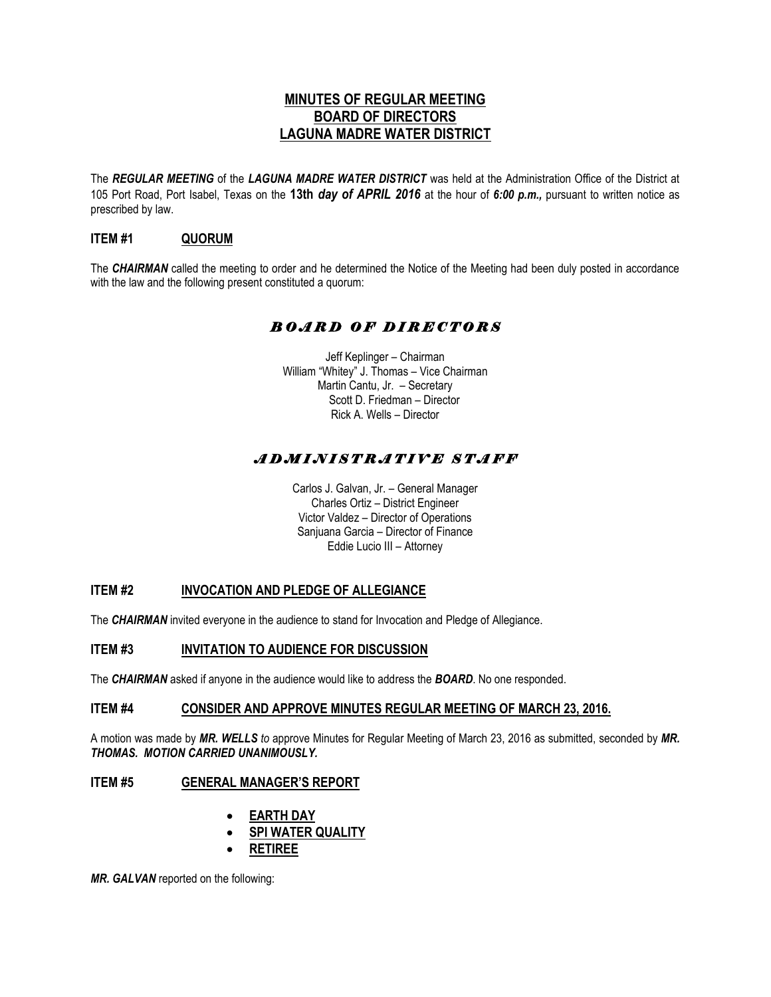## **MINUTES OF REGULAR MEETING BOARD OF DIRECTORS LAGUNA MADRE WATER DISTRICT**

The *REGULAR MEETING* of the *LAGUNA MADRE WATER DISTRICT* was held at the Administration Office of the District at 105 Port Road, Port Isabel, Texas on the **13th** *day of APRIL 2016* at the hour of *6:00 p.m.,* pursuant to written notice as prescribed by law.

## **ITEM #1 QUORUM**

The *CHAIRMAN* called the meeting to order and he determined the Notice of the Meeting had been duly posted in accordance with the law and the following present constituted a quorum:

## *B O A R D O F D I R E C T O R S*

Jeff Keplinger – Chairman William "Whitey" J. Thomas – Vice Chairman Martin Cantu, Jr. – Secretary Scott D. Friedman – Director Rick A. Wells – Director

## *A D M I N I S T R A T I V E S T A F F*

Carlos J. Galvan, Jr. – General Manager Charles Ortiz – District Engineer Victor Valdez – Director of Operations Sanjuana Garcia – Director of Finance Eddie Lucio III – Attorney

## **ITEM #2 INVOCATION AND PLEDGE OF ALLEGIANCE**

The *CHAIRMAN* invited everyone in the audience to stand for Invocation and Pledge of Allegiance.

#### **ITEM #3 INVITATION TO AUDIENCE FOR DISCUSSION**

The *CHAIRMAN* asked if anyone in the audience would like to address the *BOARD*. No one responded.

#### **ITEM #4 CONSIDER AND APPROVE MINUTES REGULAR MEETING OF MARCH 23, 2016.**

A motion was made by *MR. WELLS to* approve Minutes for Regular Meeting of March 23, 2016 as submitted, seconded by *MR. THOMAS. MOTION CARRIED UNANIMOUSLY.* 

## **ITEM #5 GENERAL MANAGER'S REPORT**

- **EARTH DAY**
- **SPI WATER QUALITY**
- **RETIREE**

*MR. GALVAN* reported on the following: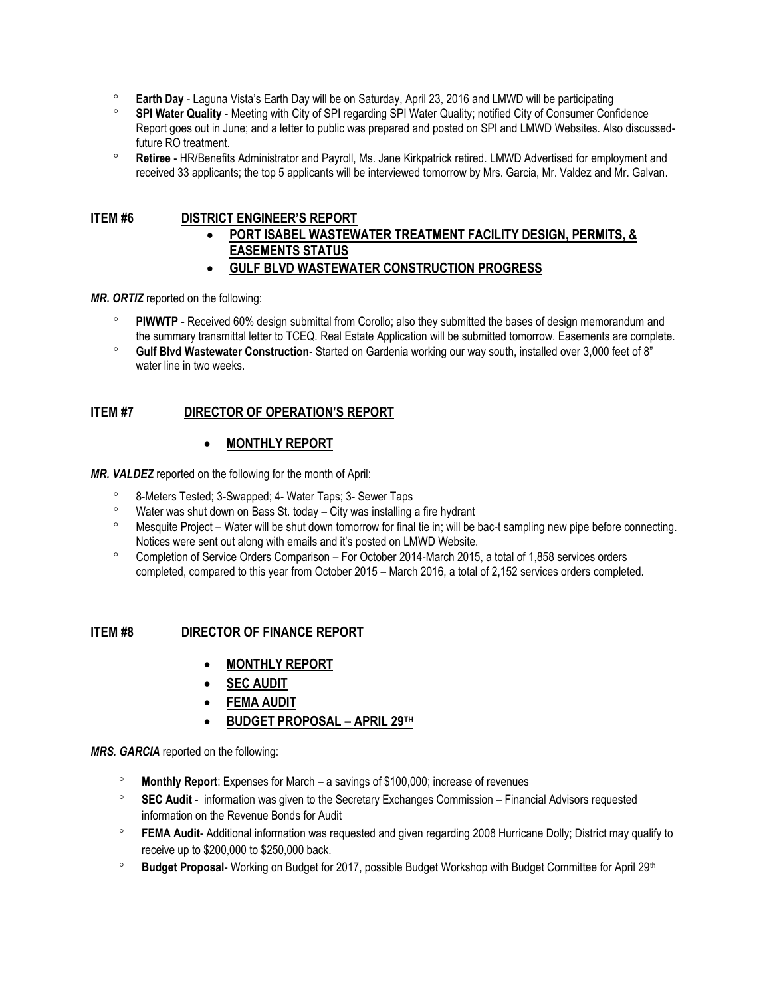- **Earth Day** Laguna Vista's Earth Day will be on Saturday, April 23, 2016 and LMWD will be participating
- **SPI Water Quality** Meeting with City of SPI regarding SPI Water Quality; notified City of Consumer Confidence Report goes out in June; and a letter to public was prepared and posted on SPI and LMWD Websites. Also discussedfuture RO treatment.
- **Retiree** HR/Benefits Administrator and Payroll, Ms. Jane Kirkpatrick retired. LMWD Advertised for employment and received 33 applicants; the top 5 applicants will be interviewed tomorrow by Mrs. Garcia, Mr. Valdez and Mr. Galvan.

## **ITEM #6 DISTRICT ENGINEER'S REPORT**

- **PORT ISABEL WASTEWATER TREATMENT FACILITY DESIGN, PERMITS, & EASEMENTS STATUS**
- **GULF BLVD WASTEWATER CONSTRUCTION PROGRESS**

*MR. ORTIZ* reported on the following:

- **PIWWTP** Received 60% design submittal from Corollo; also they submitted the bases of design memorandum and the summary transmittal letter to TCEQ. Real Estate Application will be submitted tomorrow. Easements are complete.
- **Gulf Blvd Wastewater Construction** Started on Gardenia working our way south, installed over 3,000 feet of 8" water line in two weeks.

## **ITEM #7 DIRECTOR OF OPERATION'S REPORT**

## **MONTHLY REPORT**

*MR. VALDEZ* reported on the following for the month of April:

- 8-Meters Tested; 3-Swapped; 4- Water Taps; 3- Sewer Taps
- $\degree$  Water was shut down on Bass St. today City was installing a fire hydrant
- Mesquite Project Water will be shut down tomorrow for final tie in; will be bac-t sampling new pipe before connecting. Notices were sent out along with emails and it's posted on LMWD Website.
- Completion of Service Orders Comparison For October 2014-March 2015, a total of 1,858 services orders completed, compared to this year from October 2015 – March 2016, a total of 2,152 services orders completed.

#### **ITEM #8 DIRECTOR OF FINANCE REPORT**

- **MONTHLY REPORT**
- **SEC AUDIT**
- **FEMA AUDIT**
- **BUDGET PROPOSAL – APRIL 29TH**

*MRS. GARCIA* reported on the following:

- **Monthly Report**: Expenses for March a savings of \$100,000; increase of revenues
- **SEC Audit**  information was given to the Secretary Exchanges Commission Financial Advisors requested information on the Revenue Bonds for Audit
- **FEMA Audit** Additional information was requested and given regarding 2008 Hurricane Dolly; District may qualify to receive up to \$200,000 to \$250,000 back.
- <sup>o</sup> Budget Proposal- Working on Budget for 2017, possible Budget Workshop with Budget Committee for April 29<sup>th</sup>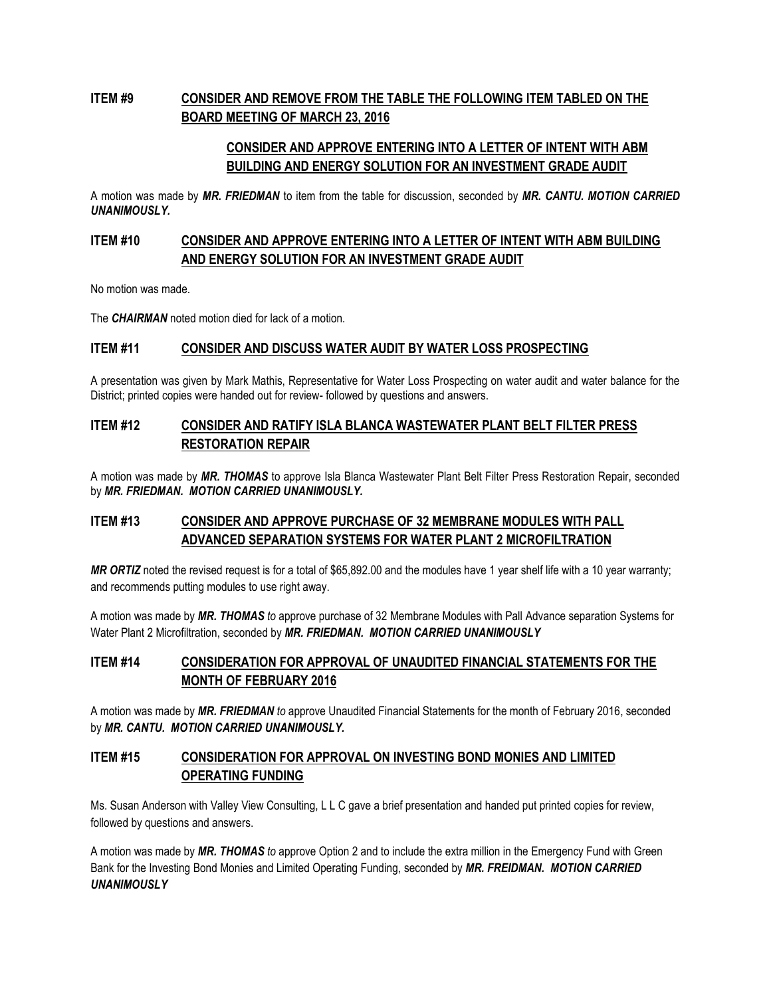# **ITEM #9 CONSIDER AND REMOVE FROM THE TABLE THE FOLLOWING ITEM TABLED ON THE BOARD MEETING OF MARCH 23, 2016**

## **CONSIDER AND APPROVE ENTERING INTO A LETTER OF INTENT WITH ABM BUILDING AND ENERGY SOLUTION FOR AN INVESTMENT GRADE AUDIT**

A motion was made by *MR. FRIEDMAN* to item from the table for discussion, seconded by *MR. CANTU. MOTION CARRIED UNANIMOUSLY.*

## **ITEM #10 CONSIDER AND APPROVE ENTERING INTO A LETTER OF INTENT WITH ABM BUILDING AND ENERGY SOLUTION FOR AN INVESTMENT GRADE AUDIT**

No motion was made.

The *CHAIRMAN* noted motion died for lack of a motion.

#### **ITEM #11 CONSIDER AND DISCUSS WATER AUDIT BY WATER LOSS PROSPECTING**

A presentation was given by Mark Mathis, Representative for Water Loss Prospecting on water audit and water balance for the District; printed copies were handed out for review- followed by questions and answers.

## **ITEM #12 CONSIDER AND RATIFY ISLA BLANCA WASTEWATER PLANT BELT FILTER PRESS RESTORATION REPAIR**

A motion was made by *MR. THOMAS* to approve Isla Blanca Wastewater Plant Belt Filter Press Restoration Repair, seconded by *MR. FRIEDMAN. MOTION CARRIED UNANIMOUSLY.*

## **ITEM #13 CONSIDER AND APPROVE PURCHASE OF 32 MEMBRANE MODULES WITH PALL ADVANCED SEPARATION SYSTEMS FOR WATER PLANT 2 MICROFILTRATION**

*MR ORTIZ* noted the revised request is for a total of \$65,892.00 and the modules have 1 year shelf life with a 10 year warranty; and recommends putting modules to use right away.

A motion was made by *MR. THOMAS to* approve purchase of 32 Membrane Modules with Pall Advance separation Systems for Water Plant 2 Microfiltration, seconded by *MR. FRIEDMAN. MOTION CARRIED UNANIMOUSLY*

## **ITEM #14 CONSIDERATION FOR APPROVAL OF UNAUDITED FINANCIAL STATEMENTS FOR THE MONTH OF FEBRUARY 2016**

A motion was made by *MR. FRIEDMAN to* approve Unaudited Financial Statements for the month of February 2016, seconded by *MR. CANTU. MOTION CARRIED UNANIMOUSLY.*

## **ITEM #15 CONSIDERATION FOR APPROVAL ON INVESTING BOND MONIES AND LIMITED OPERATING FUNDING**

Ms. Susan Anderson with Valley View Consulting, L L C gave a brief presentation and handed put printed copies for review, followed by questions and answers.

A motion was made by *MR. THOMAS to* approve Option 2 and to include the extra million in the Emergency Fund with Green Bank for the Investing Bond Monies and Limited Operating Funding, seconded by *MR. FREIDMAN. MOTION CARRIED UNANIMOUSLY*